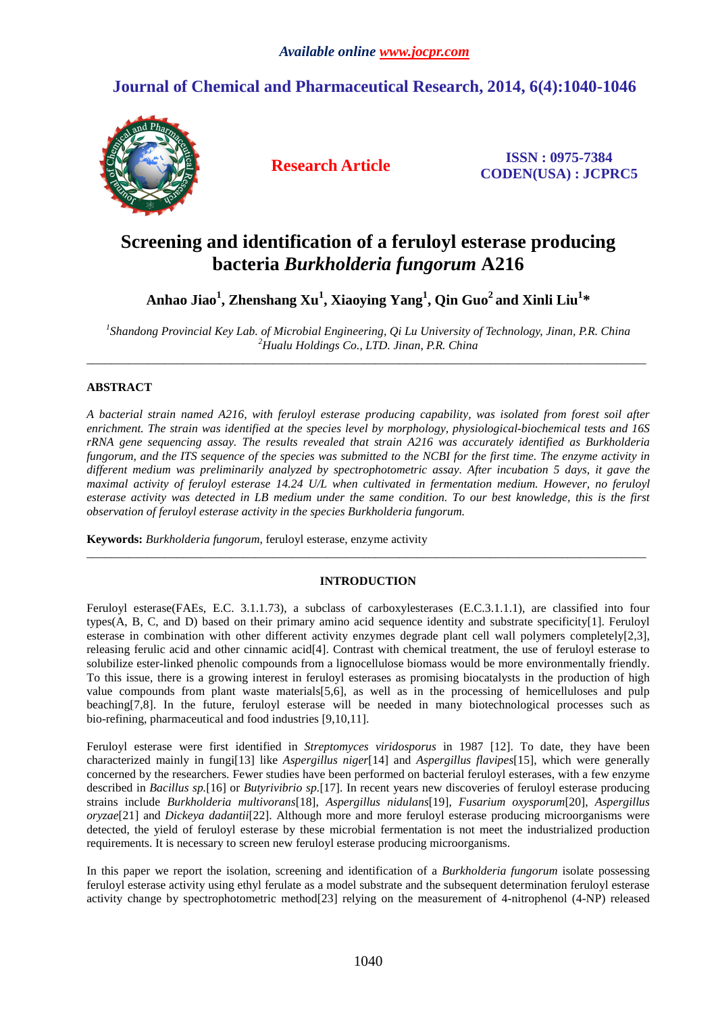## **Journal of Chemical and Pharmaceutical Research, 2014, 6(4):1040-1046**



**Research Article ISSN : 0975-7384 CODEN(USA) : JCPRC5**

# **Screening and identification of a feruloyl esterase producing bacteria** *Burkholderia fungorum* **A216**

**Anhao Jiao<sup>1</sup> , Zhenshang Xu<sup>1</sup> , Xiaoying Yang<sup>1</sup> , Qin Guo<sup>2</sup>and Xinli Liu<sup>1</sup> \*** 

*1 Shandong Provincial Key Lab. of Microbial Engineering, Qi Lu University of Technology, Jinan, P.R. China <sup>2</sup>Hualu Holdings Co., LTD. Jinan, P.R. China*  \_\_\_\_\_\_\_\_\_\_\_\_\_\_\_\_\_\_\_\_\_\_\_\_\_\_\_\_\_\_\_\_\_\_\_\_\_\_\_\_\_\_\_\_\_\_\_\_\_\_\_\_\_\_\_\_\_\_\_\_\_\_\_\_\_\_\_\_\_\_\_\_\_\_\_\_\_\_\_\_\_\_\_\_\_\_\_\_\_\_\_\_\_

## **ABSTRACT**

*A bacterial strain named A216, with feruloyl esterase producing capability, was isolated from forest soil after enrichment. The strain was identified at the species level by morphology, physiological-biochemical tests and 16S rRNA gene sequencing assay. The results revealed that strain A216 was accurately identified as Burkholderia fungorum, and the ITS sequence of the species was submitted to the NCBI for the first time. The enzyme activity in different medium was preliminarily analyzed by spectrophotometric assay. After incubation 5 days, it gave the maximal activity of feruloyl esterase 14.24 U/L when cultivated in fermentation medium. However, no feruloyl esterase activity was detected in LB medium under the same condition. To our best knowledge, this is the first observation of feruloyl esterase activity in the species Burkholderia fungorum.* 

**Keywords:** *Burkholderia fungorum*, feruloyl esterase, enzyme activity

## **INTRODUCTION**

 $\overline{a}$  , and the contribution of the contribution of the contribution of the contribution of the contribution of the contribution of the contribution of the contribution of the contribution of the contribution of the co

Feruloyl esterase(FAEs, E.C. 3.1.1.73), a subclass of carboxylesterases (E.C.3.1.1.1), are classified into four types(A, B, C, and D) based on their primary amino acid sequence identity and substrate specificity[1]. Feruloyl esterase in combination with other different activity enzymes degrade plant cell wall polymers completely[2,3], releasing ferulic acid and other cinnamic acid[4]. Contrast with chemical treatment, the use of feruloyl esterase to solubilize ester-linked phenolic compounds from a lignocellulose biomass would be more environmentally friendly. To this issue, there is a growing interest in feruloyl esterases as promising biocatalysts in the production of high value compounds from plant waste materials[5,6], as well as in the processing of hemicelluloses and pulp beaching[7,8]. In the future, feruloyl esterase will be needed in many biotechnological processes such as bio-refining, pharmaceutical and food industries [9,10,11].

Feruloyl esterase were first identified in *Streptomyces viridosporus* in 1987 [12]. To date, they have been characterized mainly in fungi[13] like *Aspergillus niger*[14] and *Aspergillus flavipes*[15], which were generally concerned by the researchers. Fewer studies have been performed on bacterial feruloyl esterases, with a few enzyme described in *Bacillus sp.*[16] or *Butyrivibrio sp.*[17]. In recent years new discoveries of feruloyl esterase producing strains include *Burkholderia multivorans*[18], *Aspergillus nidulans*[19], *Fusarium oxysporum*[20], *Aspergillus oryzae*[21] and *Dickeya dadantii*[22]. Although more and more feruloyl esterase producing microorganisms were detected, the yield of feruloyl esterase by these microbial fermentation is not meet the industrialized production requirements. It is necessary to screen new feruloyl esterase producing microorganisms.

In this paper we report the isolation, screening and identification of a *Burkholderia fungorum* isolate possessing feruloyl esterase activity using ethyl ferulate as a model substrate and the subsequent determination feruloyl esterase activity change by spectrophotometric method[23] relying on the measurement of 4-nitrophenol (4-NP) released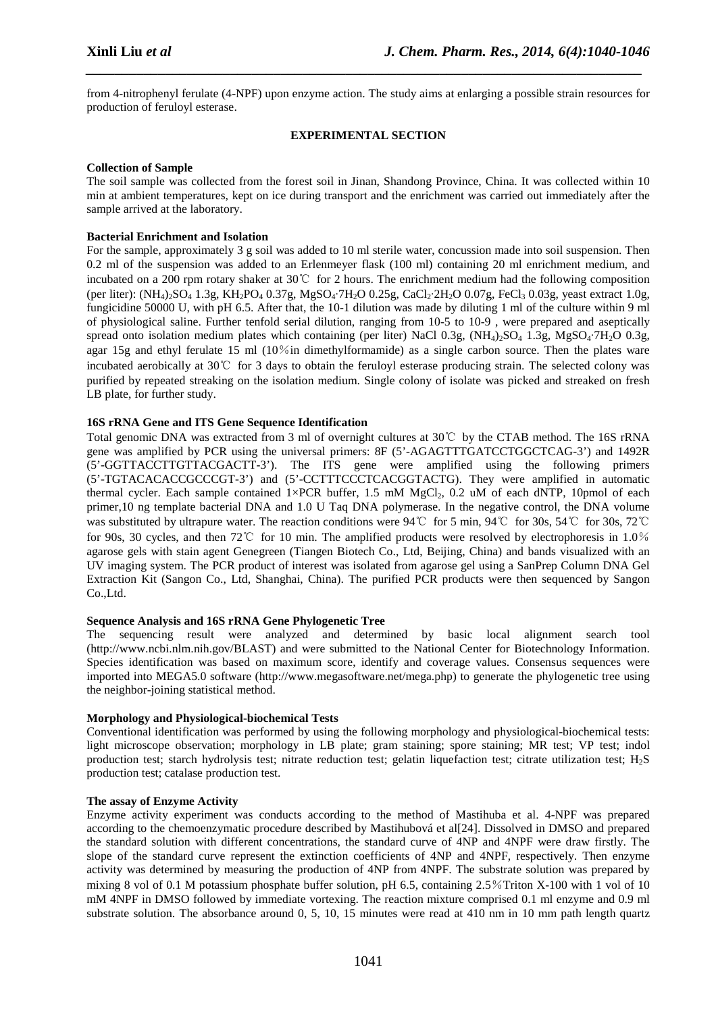from 4-nitrophenyl ferulate (4-NPF) upon enzyme action. The study aims at enlarging a possible strain resources for production of feruloyl esterase.

*\_\_\_\_\_\_\_\_\_\_\_\_\_\_\_\_\_\_\_\_\_\_\_\_\_\_\_\_\_\_\_\_\_\_\_\_\_\_\_\_\_\_\_\_\_\_\_\_\_\_\_\_\_\_\_\_\_\_\_\_\_\_\_\_\_\_\_\_\_\_\_\_\_\_\_\_\_*

#### **EXPERIMENTAL SECTION**

#### **Collection of Sample**

The soil sample was collected from the forest soil in Jinan, Shandong Province, China. It was collected within 10 min at ambient temperatures, kept on ice during transport and the enrichment was carried out immediately after the sample arrived at the laboratory.

#### **Bacterial Enrichment and Isolation**

For the sample, approximately 3 g soil was added to 10 ml sterile water, concussion made into soil suspension. Then 0.2 ml of the suspension was added to an Erlenmeyer flask (100 ml) containing 20 ml enrichment medium, and incubated on a 200 rpm rotary shaker at 30℃ for 2 hours. The enrichment medium had the following composition (per liter):  $(NH_4)_{2}SO_4$  1.3g,  $KH_2PO_4$  0.37g,  $MgSO_4$  7H<sub>2</sub>O 0.25g, CaCl<sub>2</sub>·2H<sub>2</sub>O 0.07g, FeCl<sub>3</sub> 0.03g, yeast extract 1.0g, fungicidine 50000 U, with pH 6.5. After that, the 10-1 dilution was made by diluting 1 ml of the culture within 9 ml of physiological saline. Further tenfold serial dilution, ranging from 10-5 to 10-9 , were prepared and aseptically spread onto isolation medium plates which containing (per liter) NaCl 0.3g, (NH<sub>4</sub>)<sub>2</sub>SO<sub>4</sub> 1.3g, MgSO<sub>4</sub>·7H<sub>2</sub>O 0.3g, agar 15g and ethyl ferulate 15 ml (10%in dimethylformamide) as a single carbon source. Then the plates ware incubated aerobically at 30℃ for 3 days to obtain the feruloyl esterase producing strain. The selected colony was purified by repeated streaking on the isolation medium. Single colony of isolate was picked and streaked on fresh LB plate, for further study.

### **16S rRNA Gene and ITS Gene Sequence Identification**

Total genomic DNA was extracted from 3 ml of overnight cultures at 30℃ by the CTAB method. The 16S rRNA gene was amplified by PCR using the universal primers: 8F (5'-AGAGTTTGATCCTGGCTCAG-3') and 1492R (5'-GGTTACCTTGTTACGACTT-3'). The ITS gene were amplified using the following primers (5'-TGTACACACCGCCCGT-3') and (5'-CCTTTCCCTCACGGTACTG). They were amplified in automatic thermal cycler. Each sample contained  $1 \times PCR$  buffer, 1.5 mM  $MgCl_2$ , 0.2 uM of each dNTP, 10pmol of each primer,10 ng template bacterial DNA and 1.0 U Taq DNA polymerase. In the negative control, the DNA volume was substituted by ultrapure water. The reaction conditions were 94℃ for 5 min, 94℃ for 30s, 54℃ for 30s, 72℃ for 90s, 30 cycles, and then 72℃ for 10 min. The amplified products were resolved by electrophoresis in 1.0% agarose gels with stain agent Genegreen (Tiangen Biotech Co., Ltd, Beijing, China) and bands visualized with an UV imaging system. The PCR product of interest was isolated from agarose gel using a SanPrep Column DNA Gel Extraction Kit (Sangon Co., Ltd, Shanghai, China). The purified PCR products were then sequenced by Sangon Co.,Ltd.

#### **Sequence Analysis and 16S rRNA Gene Phylogenetic Tree**

The sequencing result were analyzed and determined by basic local alignment search tool (http://www.ncbi.nlm.nih.gov/BLAST) and were submitted to the National Center for Biotechnology Information. Species identification was based on maximum score, identify and coverage values. Consensus sequences were imported into MEGA5.0 software (http://www.megasoftware.net/mega.php) to generate the phylogenetic tree using the neighbor-joining statistical method.

#### **Morphology and Physiological-biochemical Tests**

Conventional identification was performed by using the following morphology and physiological-biochemical tests: light microscope observation; morphology in LB plate; gram staining; spore staining; MR test; VP test; indol production test; starch hydrolysis test; nitrate reduction test; gelatin liquefaction test; citrate utilization test; H2S production test; catalase production test.

#### **The assay of Enzyme Activity**

Enzyme activity experiment was conducts according to the method of Mastihuba et al. 4-NPF was prepared according to the chemoenzymatic procedure described by Mastihubová et al[24]. Dissolved in DMSO and prepared the standard solution with different concentrations, the standard curve of 4NP and 4NPF were draw firstly. The slope of the standard curve represent the extinction coefficients of 4NP and 4NPF, respectively. Then enzyme activity was determined by measuring the production of 4NP from 4NPF. The substrate solution was prepared by mixing 8 vol of 0.1 M potassium phosphate buffer solution, pH 6.5, containing 2.5%Triton X-100 with 1 vol of 10 mM 4NPF in DMSO followed by immediate vortexing. The reaction mixture comprised 0.1 ml enzyme and 0.9 ml substrate solution. The absorbance around 0, 5, 10, 15 minutes were read at 410 nm in 10 mm path length quartz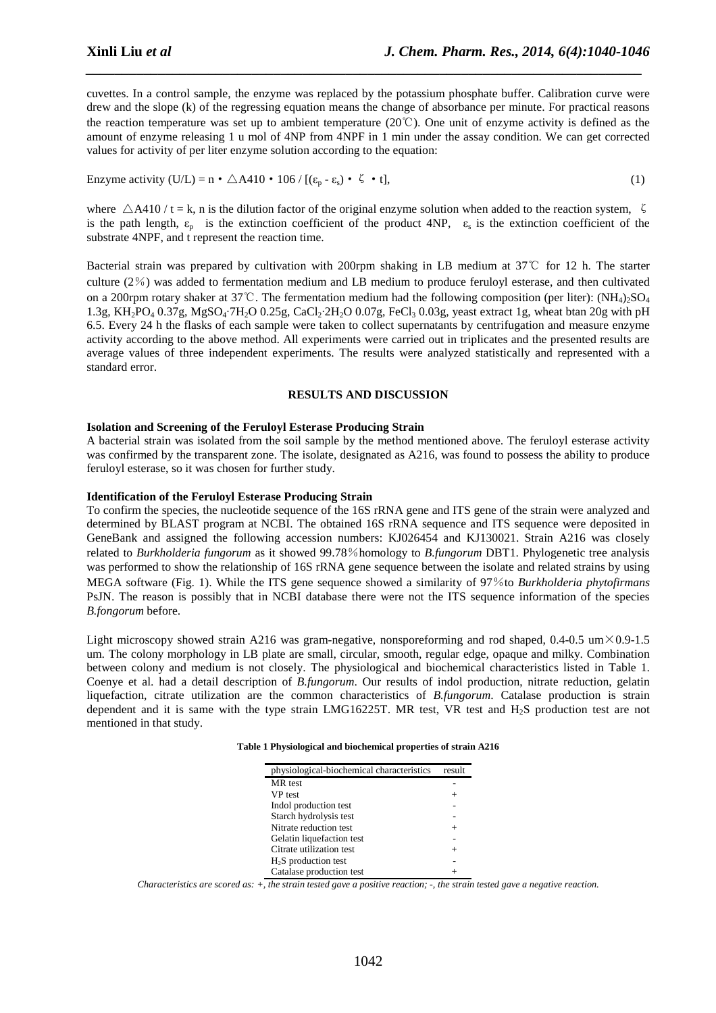cuvettes. In a control sample, the enzyme was replaced by the potassium phosphate buffer. Calibration curve were drew and the slope (k) of the regressing equation means the change of absorbance per minute. For practical reasons the reaction temperature was set up to ambient temperature (20℃). One unit of enzyme activity is defined as the amount of enzyme releasing 1 u mol of 4NP from 4NPF in 1 min under the assay condition. We can get corrected values for activity of per liter enzyme solution according to the equation:

*\_\_\_\_\_\_\_\_\_\_\_\_\_\_\_\_\_\_\_\_\_\_\_\_\_\_\_\_\_\_\_\_\_\_\_\_\_\_\_\_\_\_\_\_\_\_\_\_\_\_\_\_\_\_\_\_\_\_\_\_\_\_\_\_\_\_\_\_\_\_\_\_\_\_\_\_\_*

Enzyme activity  $(U/L) = n \cdot \triangle A410 \cdot 106 / [( \epsilon_n - \epsilon_s) \cdot \zeta \cdot t ],$  (1)

where  $\triangle A410 / t = k$ , n is the dilution factor of the original enzyme solution when added to the reaction system,  $\zeta$ is the path length,  $\varepsilon_p$  is the extinction coefficient of the product 4NP,  $\varepsilon_s$  is the extinction coefficient of the substrate 4NPF, and t represent the reaction time.

Bacterial strain was prepared by cultivation with 200rpm shaking in LB medium at 37℃ for 12 h. The starter culture (2%) was added to fermentation medium and LB medium to produce feruloyl esterase, and then cultivated on a 200rpm rotary shaker at 37℃. The fermentation medium had the following composition (per liter): (NH<sub>4</sub>)<sub>2</sub>SO<sub>4</sub> 1.3g, KH<sub>2</sub>PO<sub>4</sub> 0.37g, MgSO<sub>4</sub>·7H<sub>2</sub>O 0.25g, CaCl<sub>2</sub>·2H<sub>2</sub>O 0.07g, FeCl<sub>3</sub> 0.03g, yeast extract 1g, wheat btan 20g with pH 6.5. Every 24 h the flasks of each sample were taken to collect supernatants by centrifugation and measure enzyme activity according to the above method. All experiments were carried out in triplicates and the presented results are average values of three independent experiments. The results were analyzed statistically and represented with a standard error.

#### **RESULTS AND DISCUSSION**

#### **Isolation and Screening of the Feruloyl Esterase Producing Strain**

A bacterial strain was isolated from the soil sample by the method mentioned above. The feruloyl esterase activity was confirmed by the transparent zone. The isolate, designated as A216, was found to possess the ability to produce feruloyl esterase, so it was chosen for further study.

#### **Identification of the Feruloyl Esterase Producing Strain**

To confirm the species, the nucleotide sequence of the 16S rRNA gene and ITS gene of the strain were analyzed and determined by BLAST program at NCBI. The obtained 16S rRNA sequence and ITS sequence were deposited in GeneBank and assigned the following accession numbers: KJ026454 and KJ130021. Strain A216 was closely related to *Burkholderia fungorum* as it showed 99.78%homology to *B.fungorum* DBT1. Phylogenetic tree analysis was performed to show the relationship of 16S rRNA gene sequence between the isolate and related strains by using MEGA software (Fig. 1). While the ITS gene sequence showed a similarity of 97%to *Burkholderia phytofirmans* PsJN. The reason is possibly that in NCBI database there were not the ITS sequence information of the species *B.fongorum* before.

Light microscopy showed strain A216 was gram-negative, nonsporeforming and rod shaped,  $0.4$ -0.5 um $\times$ 0.9-1.5 um. The colony morphology in LB plate are small, circular, smooth, regular edge, opaque and milky. Combination between colony and medium is not closely. The physiological and biochemical characteristics listed in Table 1. Coenye et al. had a detail description of *B.fungorum*. Our results of indol production, nitrate reduction, gelatin liquefaction, citrate utilization are the common characteristics of *B.fungorum*. Catalase production is strain dependent and it is same with the type strain LMG16225T. MR test, VR test and H2S production test are not mentioned in that study.

|  |  | Table 1 Physiological and biochemical properties of strain A216 |
|--|--|-----------------------------------------------------------------|
|--|--|-----------------------------------------------------------------|

| physiological-biochemical characteristics |  |
|-------------------------------------------|--|
| MR test                                   |  |
| VP test                                   |  |
| Indol production test                     |  |
| Starch hydrolysis test                    |  |
| Nitrate reduction test                    |  |
| Gelatin liquefaction test                 |  |
| Citrate utilization test                  |  |
| $H2S$ production test                     |  |
| Catalase production test                  |  |

*Characteristics are scored as: +, the strain tested gave a positive reaction; -, the strain tested gave a negative reaction.*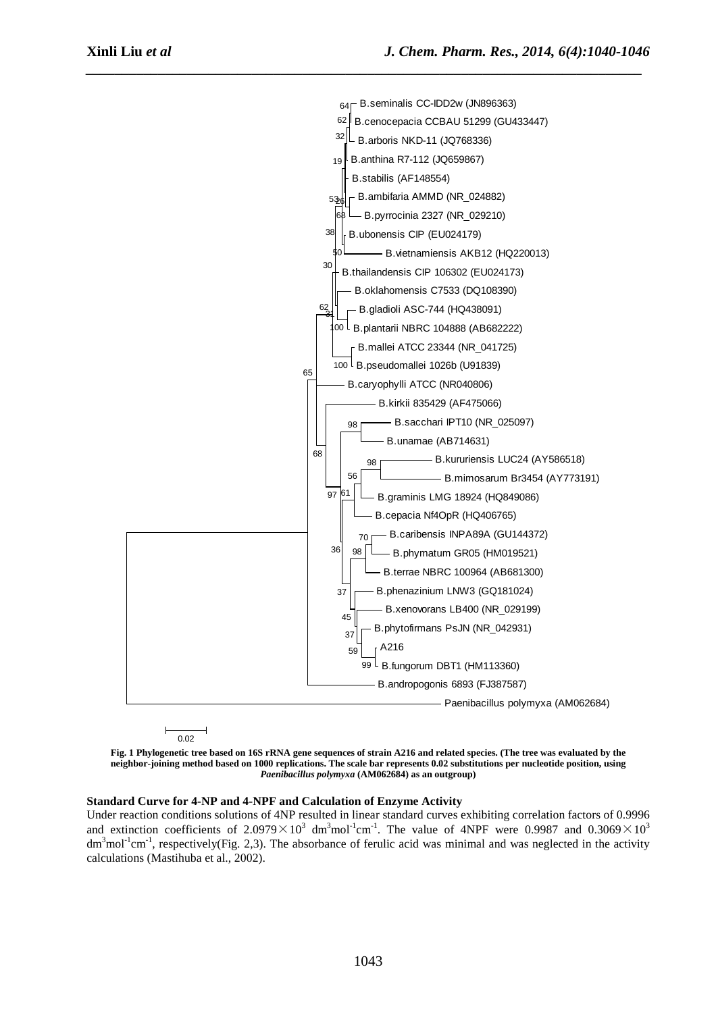

**Fig. 1 Phylogenetic tree based on 16S rRNA gene sequences of strain A216 and related species. (The tree was evaluated by the neighbor-joining method based on 1000 replications. The scale bar represents 0.02 substitutions per nucleotide position, using**  *Paenibacillus polymyxa* **(AM062684) as an outgroup)** 

#### **Standard Curve for 4-NP and 4-NPF and Calculation of Enzyme Activity**

Under reaction conditions solutions of 4NP resulted in linear standard curves exhibiting correlation factors of 0.9996 and extinction coefficients of 2.0979 $\times$ 10<sup>3</sup> dm<sup>3</sup>mol<sup>-1</sup>cm<sup>-1</sup>. The value of 4NPF were 0.9987 and 0.3069 $\times$ 10<sup>3</sup>  $dm<sup>3</sup>mol<sup>-1</sup>cm<sup>-1</sup>$ , respectively(Fig. 2,3). The absorbance of ferulic acid was minimal and was neglected in the activity calculations (Mastihuba et al., 2002).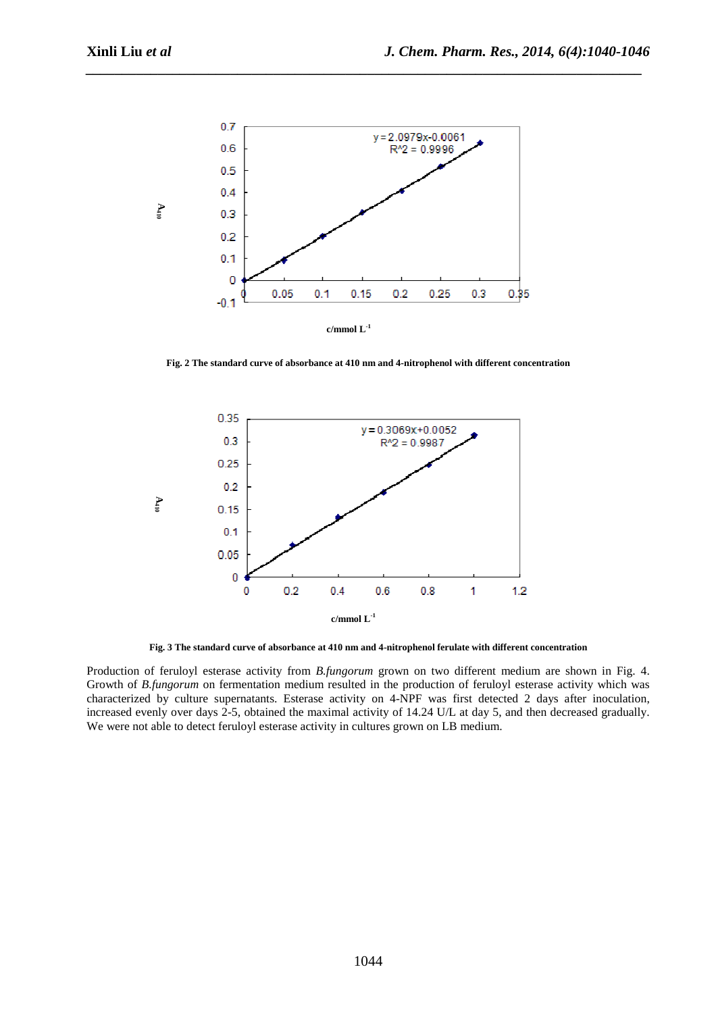

*\_\_\_\_\_\_\_\_\_\_\_\_\_\_\_\_\_\_\_\_\_\_\_\_\_\_\_\_\_\_\_\_\_\_\_\_\_\_\_\_\_\_\_\_\_\_\_\_\_\_\_\_\_\_\_\_\_\_\_\_\_\_\_\_\_\_\_\_\_\_\_\_\_\_\_\_\_*

**Fig. 2 The standard curve of absorbance at 410 nm and 4-nitrophenol with different concentration** 



**Fig. 3 The standard curve of absorbance at 410 nm and 4-nitrophenol ferulate with different concentration** 

Production of feruloyl esterase activity from *B.fungorum* grown on two different medium are shown in Fig. 4. Growth of *B.fungorum* on fermentation medium resulted in the production of feruloyl esterase activity which was characterized by culture supernatants. Esterase activity on 4-NPF was first detected 2 days after inoculation, increased evenly over days 2-5, obtained the maximal activity of 14.24 U/L at day 5, and then decreased gradually. We were not able to detect feruloyl esterase activity in cultures grown on LB medium.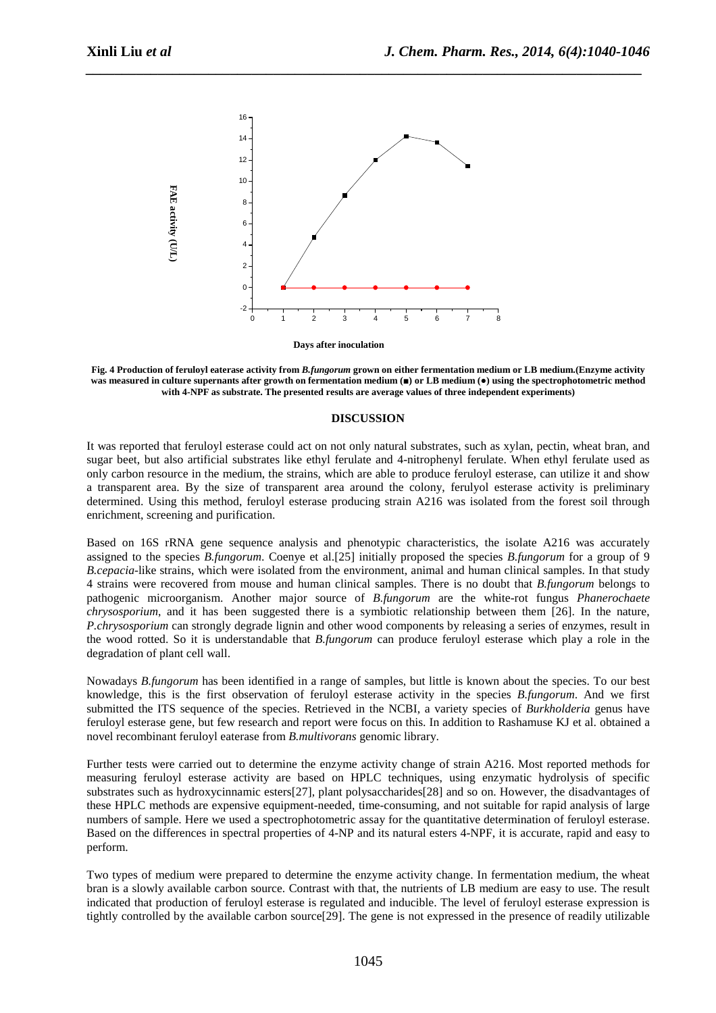

*\_\_\_\_\_\_\_\_\_\_\_\_\_\_\_\_\_\_\_\_\_\_\_\_\_\_\_\_\_\_\_\_\_\_\_\_\_\_\_\_\_\_\_\_\_\_\_\_\_\_\_\_\_\_\_\_\_\_\_\_\_\_\_\_\_\_\_\_\_\_\_\_\_\_\_\_\_*

**Fig. 4 Production of feruloyl eaterase activity from** *B.fungorum* **grown on either fermentation medium or LB medium.(Enzyme activity was measured in culture supernants after growth on fermentation medium (■) or LB medium (●) using the spectrophotometric method with 4-NPF as substrate. The presented results are average values of three independent experiments)** 

#### **DISCUSSION**

It was reported that feruloyl esterase could act on not only natural substrates, such as xylan, pectin, wheat bran, and sugar beet, but also artificial substrates like ethyl ferulate and 4-nitrophenyl ferulate. When ethyl ferulate used as only carbon resource in the medium, the strains, which are able to produce feruloyl esterase, can utilize it and show a transparent area. By the size of transparent area around the colony, ferulyol esterase activity is preliminary determined. Using this method, feruloyl esterase producing strain A216 was isolated from the forest soil through enrichment, screening and purification.

Based on 16S rRNA gene sequence analysis and phenotypic characteristics, the isolate A216 was accurately assigned to the species *B.fungorum*. Coenye et al.[25] initially proposed the species *B.fungorum* for a group of 9 *B.cepacia*-like strains, which were isolated from the environment, animal and human clinical samples. In that study 4 strains were recovered from mouse and human clinical samples. There is no doubt that *B.fungorum* belongs to pathogenic microorganism. Another major source of *B.fungorum* are the white-rot fungus *Phanerochaete chrysosporium*, and it has been suggested there is a symbiotic relationship between them [26]. In the nature, *P.chrysosporium* can strongly degrade lignin and other wood components by releasing a series of enzymes, result in the wood rotted. So it is understandable that *B.fungorum* can produce feruloyl esterase which play a role in the degradation of plant cell wall.

Nowadays *B.fungorum* has been identified in a range of samples, but little is known about the species. To our best knowledge, this is the first observation of feruloyl esterase activity in the species *B.fungorum*. And we first submitted the ITS sequence of the species. Retrieved in the NCBI, a variety species of *Burkholderia* genus have feruloyl esterase gene, but few research and report were focus on this. In addition to Rashamuse KJ et al. obtained a novel recombinant feruloyl eaterase from *B.multivorans* genomic library.

Further tests were carried out to determine the enzyme activity change of strain A216. Most reported methods for measuring feruloyl esterase activity are based on HPLC techniques, using enzymatic hydrolysis of specific substrates such as hydroxycinnamic esters[27], plant polysaccharides[28] and so on. However, the disadvantages of these HPLC methods are expensive equipment-needed, time-consuming, and not suitable for rapid analysis of large numbers of sample. Here we used a spectrophotometric assay for the quantitative determination of feruloyl esterase. Based on the differences in spectral properties of 4-NP and its natural esters 4-NPF, it is accurate, rapid and easy to perform.

Two types of medium were prepared to determine the enzyme activity change. In fermentation medium, the wheat bran is a slowly available carbon source. Contrast with that, the nutrients of LB medium are easy to use. The result indicated that production of feruloyl esterase is regulated and inducible. The level of feruloyl esterase expression is tightly controlled by the available carbon source[29]. The gene is not expressed in the presence of readily utilizable